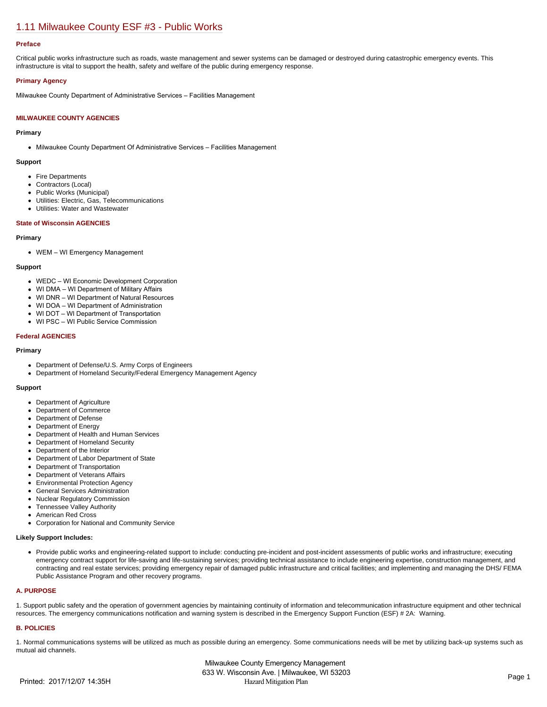# [1.11 Milwaukee County ESF #3 - Public Works](https://milwaukeecounty.isc-cemp.com/Cemp/Details?id=5805889)

## **Preface**

Critical public works infrastructure such as roads, waste management and sewer systems can be damaged or destroyed during catastrophic emergency events. This infrastructure is vital to support the health, safety and welfare of the public during emergency response.

## **Primary Agency**

Milwaukee County Department of Administrative Services – Facilities Management

# **MILWAUKEE COUNTY AGENCIES**

#### **Primary**

Milwaukee County Department Of Administrative Services – Facilities Management

#### **Support**

- Fire Departments
- Contractors (Local)
- Public Works (Municipal)
- Utilities: Electric, Gas, Telecommunications
- Utilities: Water and Wastewater

#### **State of Wisconsin AGENCIES**

#### **Primary**

WEM – WI Emergency Management

#### **Support**

- WEDC WI Economic Development Corporation
- WI DMA WI Department of Military Affairs
- WI DNR WI Department of Natural Resources
- WI DOA WI Department of Administration
- WI DOT WI Department of Transportation
- WI PSC WI Public Service Commission

#### **Federal AGENCIES**

#### **Primary**

- Department of Defense/U.S. Army Corps of Engineers
- Department of Homeland Security/Federal Emergency Management Agency

#### **Support**

- Department of Agriculture
- Department of Commerce
- Department of Defense
- Department of Energy
- Department of Health and Human Services
- Department of Homeland Security
- Department of the Interior
- Department of Labor Department of State  $\bullet$
- Department of Transportation
- Department of Veterans Affairs
- Environmental Protection Agency
- General Services Administration
- Nuclear Regulatory Commission  $\bullet$
- Tennessee Valley Authority
- American Red Cross
- Corporation for National and Community Service

#### **Likely Support Includes:**

Provide public works and engineering-related support to include: conducting pre-incident and post-incident assessments of public works and infrastructure; executing emergency contract support for life-saving and life-sustaining services; providing technical assistance to include engineering expertise, construction management, and contracting and real estate services; providing emergency repair of damaged public infrastructure and critical facilities; and implementing and managing the DHS/ FEMA Public Assistance Program and other recovery programs.

#### **A. PURPOSE**

1. Support public safety and the operation of government agencies by maintaining continuity of information and telecommunication infrastructure equipment and other technical resources. The emergency communications notification and warning system is described in the Emergency Support Function (ESF) # 2A: Warning.

# **B. POLICIES**

1. Normal communications systems will be utilized as much as possible during an emergency. Some communications needs will be met by utilizing back-up systems such as mutual aid channels.

Milwaukee County Emergency Management 633 W. Wisconsin Ave. | Milwaukee, WI 53203 Printed: 2017/12/07 14:35H Hazard Mitigation Plan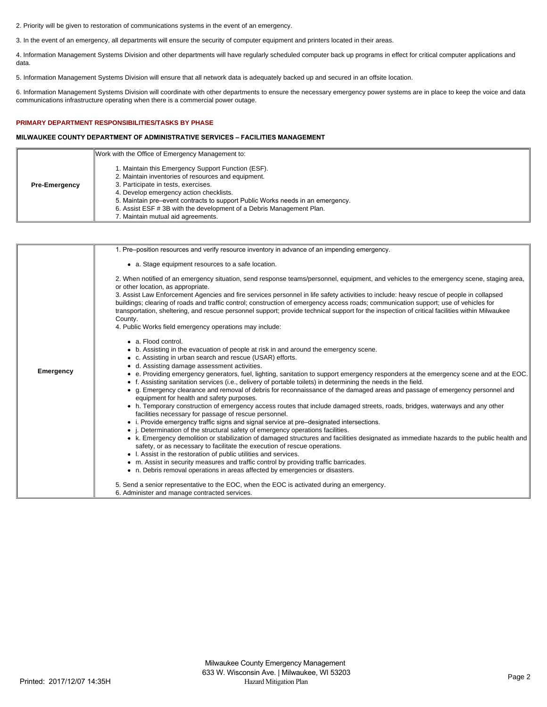2. Priority will be given to restoration of communications systems in the event of an emergency.

3. In the event of an emergency, all departments will ensure the security of computer equipment and printers located in their areas.

4. Information Management Systems Division and other departments will have regularly scheduled computer back up programs in effect for critical computer applications and data.

5. Information Management Systems Division will ensure that all network data is adequately backed up and secured in an offsite location.

6. Information Management Systems Division will coordinate with other departments to ensure the necessary emergency power systems are in place to keep the voice and data communications infrastructure operating when there is a commercial power outage.

# **PRIMARY DEPARTMENT RESPONSIBILITIES/TASKS BY PHASE**

# **MILWAUKEE COUNTY DEPARTMENT OF ADMINISTRATIVE SERVICES – FACILITIES MANAGEMENT**

|                      | Work with the Office of Emergency Management to:                                                                                                                                                                                                                                                                                                                                            |
|----------------------|---------------------------------------------------------------------------------------------------------------------------------------------------------------------------------------------------------------------------------------------------------------------------------------------------------------------------------------------------------------------------------------------|
| <b>Pre-Emergency</b> | 1. Maintain this Emergency Support Function (ESF).<br>2. Maintain inventories of resources and equipment.<br>3. Participate in tests, exercises.<br>4. Develop emergency action checklists.<br>5. Maintain pre-event contracts to support Public Works needs in an emergency.<br>6. Assist ESF # 3B with the development of a Debris Management Plan.<br>7. Maintain mutual aid agreements. |

| 1. Pre-position resources and verify resource inventory in advance of an impending emergency.                                                                                                                                                                                                                                                                                                                                                                                                                                                                                                                                                                                                                                                                                                                                                                                                                                                                                                                                                                                                                                                                                                                                                                                                                                                                                                                                                                                                                           |
|-------------------------------------------------------------------------------------------------------------------------------------------------------------------------------------------------------------------------------------------------------------------------------------------------------------------------------------------------------------------------------------------------------------------------------------------------------------------------------------------------------------------------------------------------------------------------------------------------------------------------------------------------------------------------------------------------------------------------------------------------------------------------------------------------------------------------------------------------------------------------------------------------------------------------------------------------------------------------------------------------------------------------------------------------------------------------------------------------------------------------------------------------------------------------------------------------------------------------------------------------------------------------------------------------------------------------------------------------------------------------------------------------------------------------------------------------------------------------------------------------------------------------|
| • a. Stage equipment resources to a safe location.                                                                                                                                                                                                                                                                                                                                                                                                                                                                                                                                                                                                                                                                                                                                                                                                                                                                                                                                                                                                                                                                                                                                                                                                                                                                                                                                                                                                                                                                      |
| 2. When notified of an emergency situation, send response teams/personnel, equipment, and vehicles to the emergency scene, staging area,<br>or other location, as appropriate.<br>3. Assist Law Enforcement Agencies and fire services personnel in life safety activities to include: heavy rescue of people in collapsed<br>buildings; clearing of roads and traffic control; construction of emergency access roads; communication support; use of vehicles for<br>transportation, sheltering, and rescue personnel support; provide technical support for the inspection of critical facilities within Milwaukee<br>County.<br>4. Public Works field emergency operations may include:                                                                                                                                                                                                                                                                                                                                                                                                                                                                                                                                                                                                                                                                                                                                                                                                                              |
| • a. Flood control.<br>• b. Assisting in the evacuation of people at risk in and around the emergency scene.<br>• c. Assisting in urban search and rescue (USAR) efforts.<br>• d. Assisting damage assessment activities.<br>• e. Providing emergency generators, fuel, lighting, sanitation to support emergency responders at the emergency scene and at the EOC.<br>f. Assisting sanitation services (i.e., delivery of portable toilets) in determining the needs in the field.<br>• g. Emergency clearance and removal of debris for reconnaissance of the damaged areas and passage of emergency personnel and<br>equipment for health and safety purposes.<br>• h. Temporary construction of emergency access routes that include damaged streets, roads, bridges, waterways and any other<br>facilities necessary for passage of rescue personnel.<br>• i. Provide emergency traffic signs and signal service at pre-designated intersections.<br>• <i>i.</i> Determination of the structural safety of emergency operations facilities.<br>• k. Emergency demolition or stabilization of damaged structures and facilities designated as immediate hazards to the public health and<br>safety, or as necessary to facilitate the execution of rescue operations.<br>• I. Assist in the restoration of public utilities and services.<br>• m. Assist in security measures and traffic control by providing traffic barricades.<br>• n. Debris removal operations in areas affected by emergencies or disasters. |
| 5. Send a senior representative to the EOC, when the EOC is activated during an emergency.<br>6. Administer and manage contracted services.                                                                                                                                                                                                                                                                                                                                                                                                                                                                                                                                                                                                                                                                                                                                                                                                                                                                                                                                                                                                                                                                                                                                                                                                                                                                                                                                                                             |
|                                                                                                                                                                                                                                                                                                                                                                                                                                                                                                                                                                                                                                                                                                                                                                                                                                                                                                                                                                                                                                                                                                                                                                                                                                                                                                                                                                                                                                                                                                                         |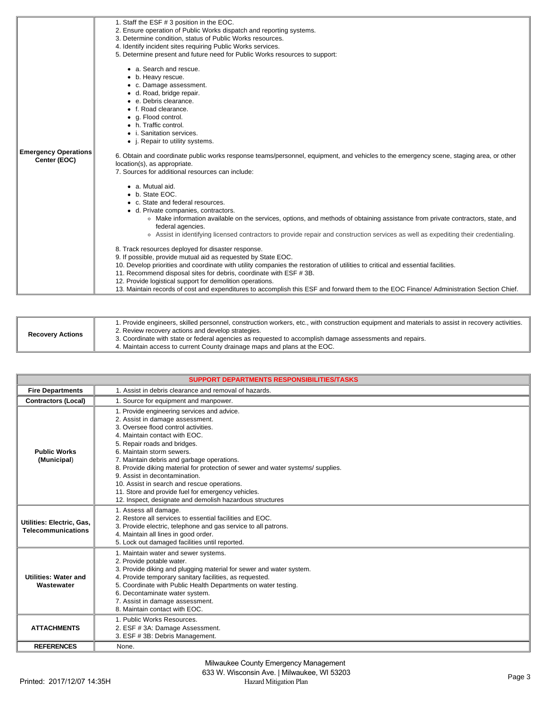|                             | 1. Staff the ESF # 3 position in the EOC.                                                                                              |
|-----------------------------|----------------------------------------------------------------------------------------------------------------------------------------|
|                             | 2. Ensure operation of Public Works dispatch and reporting systems.                                                                    |
|                             | 3. Determine condition, status of Public Works resources.                                                                              |
|                             | 4. Identify incident sites requiring Public Works services.                                                                            |
|                             | 5. Determine present and future need for Public Works resources to support:                                                            |
|                             | • a. Search and rescue.                                                                                                                |
|                             | • b. Heavy rescue.                                                                                                                     |
|                             | • c. Damage assessment.                                                                                                                |
|                             | · d. Road, bridge repair.                                                                                                              |
|                             | e. Debris clearance.                                                                                                                   |
|                             | • f. Road clearance.                                                                                                                   |
|                             | • g. Flood control.                                                                                                                    |
|                             | • h. Traffic control.                                                                                                                  |
|                             | • i. Sanitation services.                                                                                                              |
|                             | • <i>i. Repair to utility systems.</i>                                                                                                 |
| <b>Emergency Operations</b> |                                                                                                                                        |
| Center (EOC)                | 6. Obtain and coordinate public works response teams/personnel, equipment, and vehicles to the emergency scene, staging area, or other |
|                             | location(s), as appropriate.                                                                                                           |
|                             | 7. Sources for additional resources can include:                                                                                       |
|                             | • a. Mutual aid.                                                                                                                       |
|                             | • b. State EOC.                                                                                                                        |
|                             | • c. State and federal resources.                                                                                                      |
|                             | • d. Private companies, contractors.                                                                                                   |
|                             | • Make information available on the services, options, and methods of obtaining assistance from private contractors, state, and        |
|                             | federal agencies.                                                                                                                      |
|                             | . Assist in identifying licensed contractors to provide repair and construction services as well as expediting their credentialing.    |
|                             |                                                                                                                                        |
|                             | 8. Track resources deployed for disaster response.                                                                                     |
|                             | 9. If possible, provide mutual aid as requested by State EOC.                                                                          |
|                             | 10. Develop priorities and coordinate with utility companies the restoration of utilities to critical and essential facilities.        |
|                             | 11. Recommend disposal sites for debris, coordinate with ESF #3B.                                                                      |
|                             | 12. Provide logistical support for demolition operations.                                                                              |
|                             | 13. Maintain records of cost and expenditures to accomplish this ESF and forward them to the EOC Finance/Administration Section Chief. |

| <b>Recovery Actions</b> | 1. Provide engineers, skilled personnel, construction workers, etc., with construction equipment and materials to assist in recovery activities.<br>2. Review recovery actions and develop strategies.<br>3. Coordinate with state or federal agencies as requested to accomplish damage assessments and repairs.<br>4. Maintain access to current County drainage maps and plans at the EOC. |
|-------------------------|-----------------------------------------------------------------------------------------------------------------------------------------------------------------------------------------------------------------------------------------------------------------------------------------------------------------------------------------------------------------------------------------------|
|-------------------------|-----------------------------------------------------------------------------------------------------------------------------------------------------------------------------------------------------------------------------------------------------------------------------------------------------------------------------------------------------------------------------------------------|

|                                                        | <b>SUPPORT DEPARTMENTS RESPONSIBILITIES/TASKS</b>                                                                                                                                                                                                                                                                                                                                                                                                                                                                                                       |  |  |  |  |
|--------------------------------------------------------|---------------------------------------------------------------------------------------------------------------------------------------------------------------------------------------------------------------------------------------------------------------------------------------------------------------------------------------------------------------------------------------------------------------------------------------------------------------------------------------------------------------------------------------------------------|--|--|--|--|
| <b>Fire Departments</b>                                | 1. Assist in debris clearance and removal of hazards.                                                                                                                                                                                                                                                                                                                                                                                                                                                                                                   |  |  |  |  |
| <b>Contractors (Local)</b>                             | 1. Source for equipment and manpower.                                                                                                                                                                                                                                                                                                                                                                                                                                                                                                                   |  |  |  |  |
| <b>Public Works</b><br>(Municipal)                     | 1. Provide engineering services and advice.<br>2. Assist in damage assessment.<br>3. Oversee flood control activities.<br>4. Maintain contact with EOC.<br>5. Repair roads and bridges.<br>6. Maintain storm sewers.<br>7. Maintain debris and garbage operations.<br>8. Provide diking material for protection of sewer and water systems/ supplies.<br>9. Assist in decontamination.<br>10. Assist in search and rescue operations.<br>11. Store and provide fuel for emergency vehicles.<br>12. Inspect, designate and demolish hazardous structures |  |  |  |  |
| Utilities: Electric, Gas,<br><b>Telecommunications</b> | 1. Assess all damage.<br>2. Restore all services to essential facilities and EOC.<br>3. Provide electric, telephone and gas service to all patrons.<br>4. Maintain all lines in good order.<br>5. Lock out damaged facilities until reported.                                                                                                                                                                                                                                                                                                           |  |  |  |  |
| <b>Utilities: Water and</b><br>Wastewater              | 1. Maintain water and sewer systems.<br>2. Provide potable water.<br>3. Provide diking and plugging material for sewer and water system.<br>4. Provide temporary sanitary facilities, as requested.<br>5. Coordinate with Public Health Departments on water testing.<br>6. Decontaminate water system.<br>7. Assist in damage assessment.<br>8. Maintain contact with EOC.                                                                                                                                                                             |  |  |  |  |
| <b>ATTACHMENTS</b>                                     | 1. Public Works Resources.<br>2. ESF # 3A: Damage Assessment.<br>3. ESF #3B: Debris Management.                                                                                                                                                                                                                                                                                                                                                                                                                                                         |  |  |  |  |
| <b>REFERENCES</b>                                      | None.                                                                                                                                                                                                                                                                                                                                                                                                                                                                                                                                                   |  |  |  |  |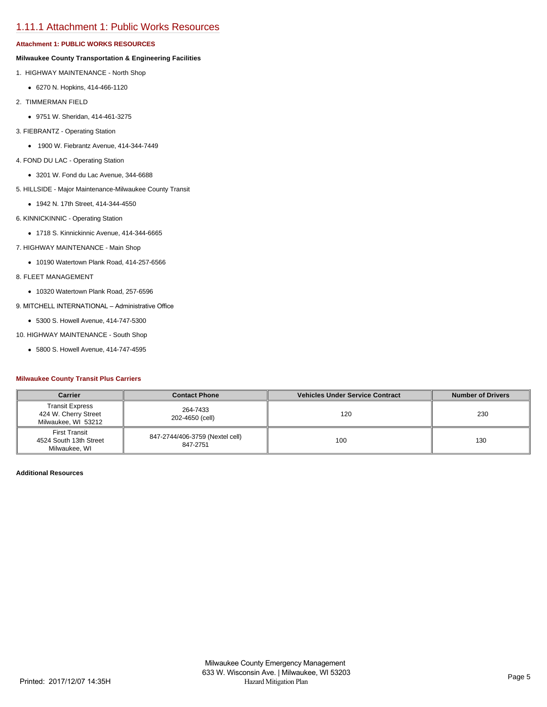# [1.11.1 Attachment 1: Public Works Resources](https://milwaukeecounty.isc-cemp.com/Cemp/Details?id=5809894)

# **Attachment 1: PUBLIC WORKS RESOURCES**

# **Milwaukee County Transportation & Engineering Facilities**

- 1. HIGHWAY MAINTENANCE North Shop
	- 6270 N. Hopkins, 414-466-1120
- 2. TIMMERMAN FIELD
	- 9751 W. Sheridan, 414-461-3275
- 3. FIEBRANTZ Operating Station
	- 1900 W. Fiebrantz Avenue, 414-344-7449
- 4. FOND DU LAC Operating Station
	- 3201 W. Fond du Lac Avenue, 344-6688
- 5. HILLSIDE Major Maintenance-Milwaukee County Transit
- 1942 N. 17th Street, 414-344-4550
- 6. KINNICKINNIC Operating Station
	- 1718 S. Kinnickinnic Avenue, 414-344-6665
- 7. HIGHWAY MAINTENANCE Main Shop
	- 10190 Watertown Plank Road, 414-257-6566
- 8. FLEET MANAGEMENT
	- 10320 Watertown Plank Road, 257-6596
- 9. MITCHELL INTERNATIONAL Administrative Office
	- 5300 S. Howell Avenue, 414-747-5300

10. HIGHWAY MAINTENANCE - South Shop

5800 S. Howell Avenue, 414-747-4595

# **Milwaukee County Transit Plus Carriers**

| <b>Carrier</b><br><b>Contact Phone</b>                                |                                             | <b>Vehicles Under Service Contract</b> | <b>Number of Drivers</b> |
|-----------------------------------------------------------------------|---------------------------------------------|----------------------------------------|--------------------------|
| <b>Transit Express</b><br>424 W. Cherry Street<br>Milwaukee, WI 53212 | 264-7433<br>202-4650 (cell)                 | 120                                    | 230                      |
| First Transit<br>4524 South 13th Street<br>Milwaukee, WI              | 847-2744/406-3759 (Nextel cell)<br>847-2751 | 100                                    | 130                      |

**Additional Resources**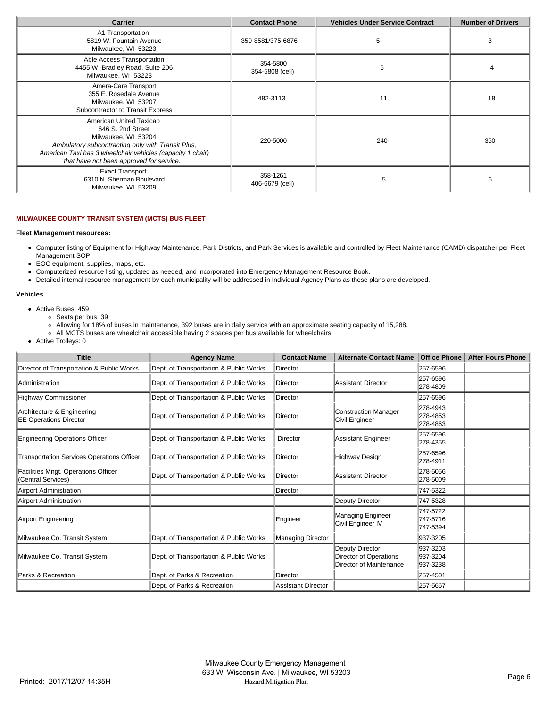| <b>Carrier</b>                                                                                                                                                                                                                     | <b>Contact Phone</b>        | <b>Vehicles Under Service Contract</b> | <b>Number of Drivers</b> |
|------------------------------------------------------------------------------------------------------------------------------------------------------------------------------------------------------------------------------------|-----------------------------|----------------------------------------|--------------------------|
| A1 Transportation<br>5819 W. Fountain Avenue<br>Milwaukee, WI 53223                                                                                                                                                                | 350-8581/375-6876           | 5                                      | з                        |
| Able Access Transportation<br>4455 W. Bradley Road, Suite 206<br>Milwaukee, WI 53223                                                                                                                                               | 354-5800<br>354-5808 (cell) | 6                                      |                          |
| Amera-Care Transport<br>355 E. Rosedale Avenue<br>Milwaukee, WI 53207<br>Subcontractor to Transit Express                                                                                                                          | 482-3113                    | 11                                     | 18                       |
| American United Taxicab<br>646 S. 2nd Street<br>Milwaukee, WI 53204<br>Ambulatory subcontracting only with Transit Plus,<br>American Taxi has 3 wheelchair vehicles (capacity 1 chair)<br>that have not been approved for service. | 220-5000                    | 240                                    | 350                      |
| <b>Exact Transport</b><br>6310 N. Sherman Boulevard<br>Milwaukee, WI 53209                                                                                                                                                         | 358-1261<br>406-6679 (cell) | 5                                      | 6                        |

# **MILWAUKEE COUNTY TRANSIT SYSTEM (MCTS) BUS FLEET**

## **Fleet Management resources:**

- Computer listing of Equipment for Highway Maintenance, Park Districts, and Park Services is available and controlled by Fleet Maintenance (CAMD) dispatcher per Fleet Management SOP.
- EOC equipment, supplies, maps, etc.  $\bullet$
- Computerized resource listing, updated as needed, and incorporated into Emergency Management Resource Book.  $\bullet$
- Detailed internal resource management by each municipality will be addressed in Individual Agency Plans as these plans are developed.

# **Vehicles**

- Active Buses: 459
	- Seats per bus: 39
	- Allowing for 18% of buses in maintenance, 392 buses are in daily service with an approximate seating capacity of 15,288.
	- All MCTS buses are wheelchair accessible having 2 spaces per bus available for wheelchairs
- Active Trolleys: 0

| <b>Title</b>                                                | <b>Agency Name</b>                     | <b>Contact Name</b>      | <b>Alternate Contact Name</b>                                        | <b>Office Phone</b>              | <b>After Hours Phone</b> |
|-------------------------------------------------------------|----------------------------------------|--------------------------|----------------------------------------------------------------------|----------------------------------|--------------------------|
| Director of Transportation & Public Works                   | Dept. of Transportation & Public Works | Director                 |                                                                      | 257-6596                         |                          |
| Administration                                              | Dept. of Transportation & Public Works | Director                 | Assistant Director                                                   | 257-6596<br>278-4809             |                          |
| Highway Commissioner                                        | Dept. of Transportation & Public Works | Director                 |                                                                      | 257-6596                         |                          |
| Architecture & Engineering<br><b>EE Operations Director</b> | Dept. of Transportation & Public Works | Director                 | Construction Manager<br>Civil Engineer                               | 278-4943<br>278-4853<br>278-4863 |                          |
| Engineering Operations Officer                              | Dept. of Transportation & Public Works | Director                 | Assistant Engineer                                                   | 257-6596<br>278-4355             |                          |
| <b>Transportation Services Operations Officer</b>           | Dept. of Transportation & Public Works | Director                 | Highway Design                                                       | 257-6596<br>278-4911             |                          |
| Facilities Mngt. Operations Officer<br>(Central Services)   | Dept. of Transportation & Public Works | Director                 | Assistant Director                                                   | 278-5056<br>278-5009             |                          |
| Airport Administration                                      |                                        | Director                 |                                                                      | 747-5322                         |                          |
| Airport Administration                                      |                                        |                          | Deputy Director                                                      | 747-5328                         |                          |
| Airport Engineering                                         |                                        | Engineer                 | <b>Managing Engineer</b><br>Civil Engineer IV                        | 747-5722<br>747-5716<br>747-5394 |                          |
| Milwaukee Co. Transit System                                | Dept. of Transportation & Public Works | <b>Managing Director</b> |                                                                      | 937-3205                         |                          |
| Milwaukee Co. Transit System                                | Dept. of Transportation & Public Works |                          | Deputy Director<br>Director of Operations<br>Director of Maintenance | 937-3203<br>937-3204<br>937-3238 |                          |
| Parks & Recreation                                          | Dept. of Parks & Recreation            | Director                 |                                                                      | 257-4501                         |                          |
|                                                             | Dept. of Parks & Recreation            | Assistant Director       |                                                                      | 257-5667                         |                          |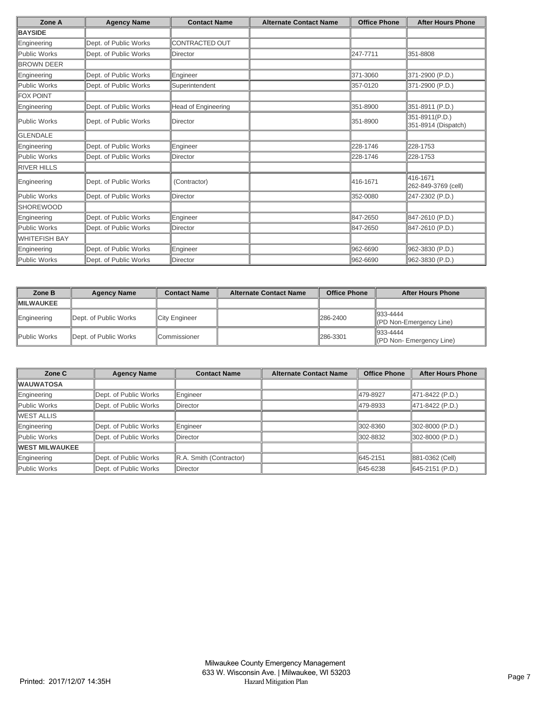| Zone A               | <b>Agency Name</b>    | <b>Contact Name</b>        | <b>Alternate Contact Name</b> | <b>Office Phone</b> | <b>After Hours Phone</b>              |
|----------------------|-----------------------|----------------------------|-------------------------------|---------------------|---------------------------------------|
| <b>BAYSIDE</b>       |                       |                            |                               |                     |                                       |
| Engineering          | Dept. of Public Works | <b>CONTRACTED OUT</b>      |                               |                     |                                       |
| Public Works         | Dept. of Public Works | <b>Director</b>            |                               | 247-7711            | 351-8808                              |
| <b>BROWN DEER</b>    |                       |                            |                               |                     |                                       |
| Engineering          | Dept. of Public Works | Engineer                   |                               | 371-3060            | 371-2900 (P.D.)                       |
| Public Works         | Dept. of Public Works | Superintendent             |                               | 357-0120            | 371-2900 (P.D.)                       |
| <b>FOX POINT</b>     |                       |                            |                               |                     |                                       |
| Engineering          | Dept. of Public Works | <b>Head of Engineering</b> |                               | 351-8900            | 351-8911 (P.D.)                       |
| Public Works         | Dept. of Public Works | Director                   |                               | 351-8900            | 351-8911(P.D.)<br>351-8914 (Dispatch) |
| <b>IGLENDALE</b>     |                       |                            |                               |                     |                                       |
| Engineering          | Dept. of Public Works | Engineer                   |                               | 228-1746            | 228-1753                              |
| Public Works         | Dept. of Public Works | <b>Director</b>            |                               | 228-1746            | 228-1753                              |
| <b>RIVER HILLS</b>   |                       |                            |                               |                     |                                       |
| Engineering          | Dept. of Public Works | (Contractor)               |                               | 416-1671            | 416-1671<br>262-849-3769 (cell)       |
| Public Works         | Dept. of Public Works | Director                   |                               | 352-0080            | 247-2302 (P.D.)                       |
| <b>SHOREWOOD</b>     |                       |                            |                               |                     |                                       |
| Engineering          | Dept. of Public Works | Engineer                   |                               | 847-2650            | 847-2610 (P.D.)                       |
| Public Works         | Dept. of Public Works | Director                   |                               | 847-2650            | 847-2610 (P.D.)                       |
| <b>WHITEFISH BAY</b> |                       |                            |                               |                     |                                       |
| Engineering          | Dept. of Public Works | Engineer                   |                               | 962-6690            | 962-3830 (P.D.)                       |
| Public Works         | Dept. of Public Works | Director                   |                               | 962-6690            | 962-3830 (P.D.)                       |

| Zone B            | <b>Agency Name</b>    | <b>Contact Name</b> | <b>Alternate Contact Name</b> | <b>Office Phone</b> | <b>After Hours Phone</b>                        |
|-------------------|-----------------------|---------------------|-------------------------------|---------------------|-------------------------------------------------|
| <b>IMILWAUKEE</b> |                       |                     |                               |                     |                                                 |
| Engineering       | Dept. of Public Works | City Engineer       |                               | 286-2400            | $ 933 - 4444$<br>$\ $ (PD Non-Emergency Line)   |
| Public Works      | Dept. of Public Works | <b>Commissioner</b> |                               | 286-3301            | $\parallel$ 933-4444<br>(PD Non-Emergency Line) |

| Zone C                 | <b>Agency Name</b>    | <b>Contact Name</b>     | <b>Alternate Contact Name</b> | <b>Office Phone</b> | <b>After Hours Phone</b> |
|------------------------|-----------------------|-------------------------|-------------------------------|---------------------|--------------------------|
| <b>WAUWATOSA</b>       |                       |                         |                               |                     |                          |
| Engineering            | Dept. of Public Works | Engineer                |                               | 479-8927            | 471-8422 (P.D.)          |
| Public Works           | Dept. of Public Works | Director                |                               | 479-8933            | 471-8422 (P.D.)          |
| IWEST ALLIS            |                       |                         |                               |                     |                          |
| Engineering            | Dept. of Public Works | Engineer                |                               | 302-8360            | $ 302-8000(P.D.) $       |
| Public Works           | Dept. of Public Works | Director                |                               | 302-8832            | 302-8000 (P.D.)          |
| <b>IWEST MILWAUKEE</b> |                       |                         |                               |                     |                          |
| Engineering            | Dept. of Public Works | R.A. Smith (Contractor) |                               | 645-2151            | 881-0362 (Cell)          |
| Public Works           | Dept. of Public Works | <b>IDirector</b>        |                               | 645-6238            | 645-2151 (P.D.)          |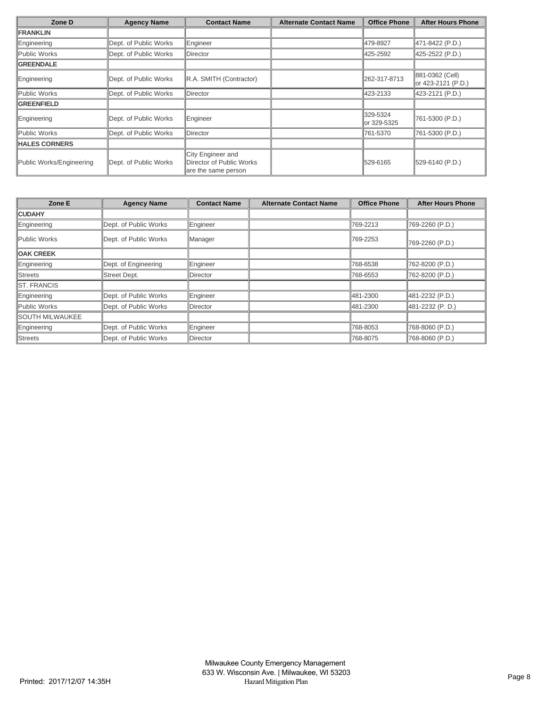| Zone D                   | <b>Agency Name</b>    | <b>Contact Name</b>                                                  | <b>Alternate Contact Name</b> | <b>Office Phone</b>     | <b>After Hours Phone</b>              |
|--------------------------|-----------------------|----------------------------------------------------------------------|-------------------------------|-------------------------|---------------------------------------|
| <b>FRANKLIN</b>          |                       |                                                                      |                               |                         |                                       |
| Engineering              | Dept. of Public Works | Engineer                                                             |                               | 479-8927                | 471-8422 (P.D.)                       |
| Public Works             | Dept. of Public Works | <b>IDirector</b>                                                     |                               | 425-2592                | 425-2522 (P.D.)                       |
| <b>GREENDALE</b>         |                       |                                                                      |                               |                         |                                       |
| Engineering              | Dept. of Public Works | R.A. SMITH (Contractor)                                              |                               | 262-317-8713            | 881-0362 (Cell)<br>or 423-2121 (P.D.) |
| Public Works             | Dept. of Public Works | <b>IDirector</b>                                                     |                               | 423-2133                | 423-2121 (P.D.)                       |
| <b>GREENFIELD</b>        |                       |                                                                      |                               |                         |                                       |
| Engineering              | Dept. of Public Works | Engineer                                                             |                               | 329-5324<br>or 329-5325 | 761-5300 (P.D.)                       |
| Public Works             | Dept. of Public Works | <b>IDirector</b>                                                     |                               | 761-5370                | 761-5300 (P.D.)                       |
| <b>HALES CORNERS</b>     |                       |                                                                      |                               |                         |                                       |
| Public Works/Engineering | Dept. of Public Works | City Engineer and<br>Director of Public Works<br>are the same person |                               | 1529-6165               | 529-6140 (P.D.)                       |

| Zone E                 | <b>Agency Name</b>    | <b>Contact Name</b> | <b>Alternate Contact Name</b> | <b>Office Phone</b> | <b>After Hours Phone</b> |
|------------------------|-----------------------|---------------------|-------------------------------|---------------------|--------------------------|
| <b>CUDAHY</b>          |                       |                     |                               |                     |                          |
| Engineering            | Dept. of Public Works | Engineer            |                               | 769-2213            | 769-2260 (P.D.)          |
| Public Works           | Dept. of Public Works | Manager             |                               | 769-2253            | 769-2260 (P.D.)          |
| <b>OAK CREEK</b>       |                       |                     |                               |                     |                          |
| Engineering            | Dept. of Engineering  | <b>Engineer</b>     |                               | 768-6538            | 762-8200 (P.D.)          |
| Streets                | Street Dept.          | Director            |                               | 768-6553            | 762-8200 (P.D.)          |
| <b>IST. FRANCIS</b>    |                       |                     |                               |                     |                          |
| Engineering            | Dept. of Public Works | Engineer            |                               | 481-2300            | 481-2232 (P.D.)          |
| Public Works           | Dept. of Public Works | Director            |                               | 481-2300            | 481-2232 (P.D.)          |
| <b>SOUTH MILWAUKEE</b> |                       |                     |                               |                     |                          |
| Engineering            | Dept. of Public Works | Engineer            |                               | 768-8053            | 768-8060 (P.D.)          |
| Streets                | Dept. of Public Works | <b>IDirector</b>    |                               | 768-8075            | 768-8060 (P.D.)          |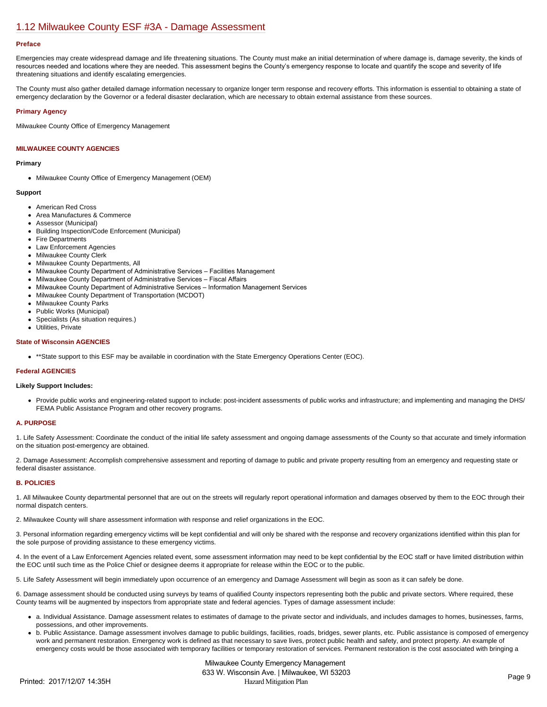# [1.12 Milwaukee County ESF #3A - Damage Assessment](https://milwaukeecounty.isc-cemp.com/Cemp/Details?id=5805890)

#### **Preface**

Emergencies may create widespread damage and life threatening situations. The County must make an initial determination of where damage is, damage severity, the kinds of resources needed and locations where they are needed. This assessment begins the County's emergency response to locate and quantify the scope and severity of life threatening situations and identify escalating emergencies.

The County must also gather detailed damage information necessary to organize longer term response and recovery efforts. This information is essential to obtaining a state of emergency declaration by the Governor or a federal disaster declaration, which are necessary to obtain external assistance from these sources.

# **Primary Agency**

Milwaukee County Office of Emergency Management

# **MILWAUKEE COUNTY AGENCIES**

## **Primary**

• Milwaukee County Office of Emergency Management (OEM)

### **Support**

- American Red Cross
- Area Manufactures & Commerce
- Assessor (Municipal)
- Building Inspection/Code Enforcement (Municipal)
- Fire Departments
- Law Enforcement Agencies
- Milwaukee County Clerk
- Milwaukee County Departments, All
- Milwaukee County Department of Administrative Services Facilities Management
- Milwaukee County Department of Administrative Services Fiscal Affairs
- Milwaukee County Department of Administrative Services Information Management Services
- Milwaukee County Department of Transportation (MCDOT)
- Milwaukee County Parks
- Public Works (Municipal)
- Specialists (As situation requires.)
- Utilities, Private

# **State of Wisconsin AGENCIES**

\*\*State support to this ESF may be available in coordination with the State Emergency Operations Center (EOC).

# **Federal AGENCIES**

#### **Likely Support Includes:**

Provide public works and engineering-related support to include: post-incident assessments of public works and infrastructure; and implementing and managing the DHS/ FEMA Public Assistance Program and other recovery programs.

# **A. PURPOSE**

1. Life Safety Assessment: Coordinate the conduct of the initial life safety assessment and ongoing damage assessments of the County so that accurate and timely information on the situation post-emergency are obtained.

2. Damage Assessment: Accomplish comprehensive assessment and reporting of damage to public and private property resulting from an emergency and requesting state or federal disaster assistance.

# **B. POLICIES**

1. All Milwaukee County departmental personnel that are out on the streets will regularly report operational information and damages observed by them to the EOC through their normal dispatch centers.

2. Milwaukee County will share assessment information with response and relief organizations in the EOC.

3. Personal information regarding emergency victims will be kept confidential and will only be shared with the response and recovery organizations identified within this plan for the sole purpose of providing assistance to these emergency victims.

4. In the event of a Law Enforcement Agencies related event, some assessment information may need to be kept confidential by the EOC staff or have limited distribution within the EOC until such time as the Police Chief or designee deems it appropriate for release within the EOC or to the public.

5. Life Safety Assessment will begin immediately upon occurrence of an emergency and Damage Assessment will begin as soon as it can safely be done.

6. Damage assessment should be conducted using surveys by teams of qualified County inspectors representing both the public and private sectors. Where required, these County teams will be augmented by inspectors from appropriate state and federal agencies. Types of damage assessment include:

- a. Individual Assistance. Damage assessment relates to estimates of damage to the private sector and individuals, and includes damages to homes, businesses, farms, possessions, and other improvements.
- b. Public Assistance. Damage assessment involves damage to public buildings, facilities, roads, bridges, sewer plants, etc. Public assistance is composed of emergency work and permanent restoration. Emergency work is defined as that necessary to save lives, protect public health and safety, and protect property. An example of emergency costs would be those associated with temporary facilities or temporary restoration of services. Permanent restoration is the cost associated with bringing a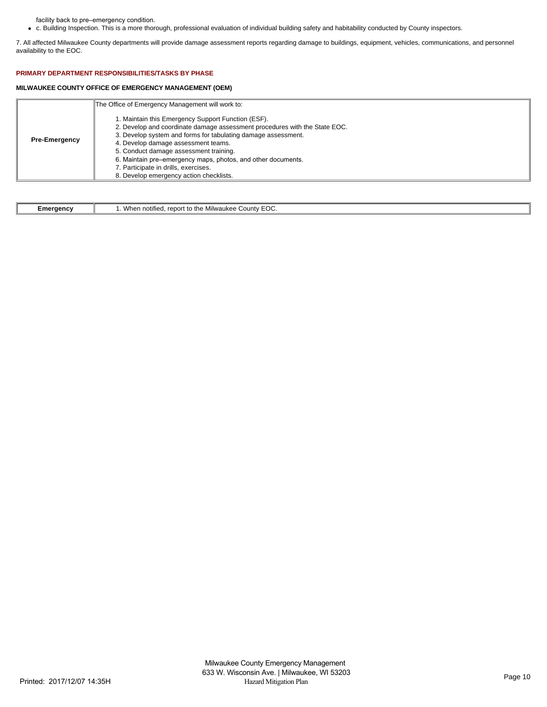facility back to pre–emergency condition.

c. Building Inspection. This is a more thorough, professional evaluation of individual building safety and habitability conducted by County inspectors.  $\bullet$ 

7. All affected Milwaukee County departments will provide damage assessment reports regarding damage to buildings, equipment, vehicles, communications, and personnel availability to the EOC.

# **PRIMARY DEPARTMENT RESPONSIBILITIES/TASKS BY PHASE**

# **MILWAUKEE COUNTY OFFICE OF EMERGENCY MANAGEMENT (OEM)**

|                      | The Office of Emergency Management will work to:                                                                                                                                                                                                                                                                                                                                                                                      |
|----------------------|---------------------------------------------------------------------------------------------------------------------------------------------------------------------------------------------------------------------------------------------------------------------------------------------------------------------------------------------------------------------------------------------------------------------------------------|
| <b>Pre-Emergency</b> | 1. Maintain this Emergency Support Function (ESF).<br>2. Develop and coordinate damage assessment procedures with the State EOC.<br>3. Develop system and forms for tabulating damage assessment.<br>4. Develop damage assessment teams.<br>5. Conduct damage assessment training.<br>6. Maintain pre-emergency maps, photos, and other documents.<br>7. Participate in drills, exercises.<br>8. Develop emergency action checklists. |

| Emeraenc\ | $-$<br>`Vhen<br>.<br>$\cdots$<br>∴ounty ∪<br>$+h$<br>1117211726<br>notified<br>$r \wedge r \wedge r$<br>τo<br>nwaune<br>EUU<br>. |
|-----------|----------------------------------------------------------------------------------------------------------------------------------|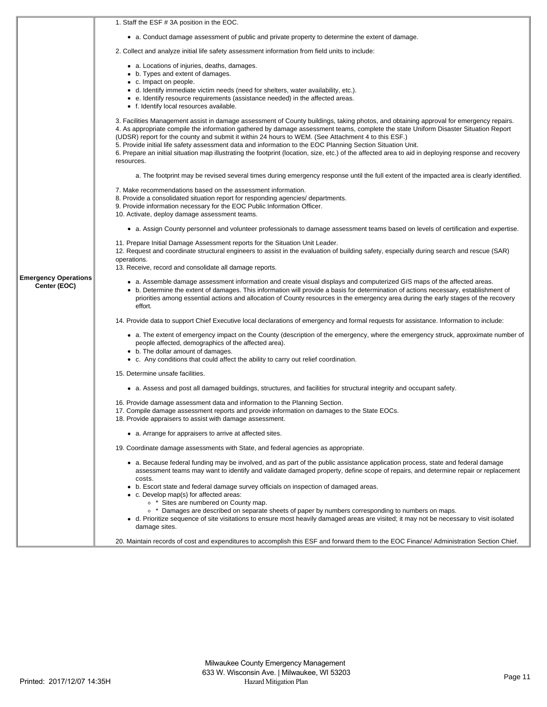|                                             | 1. Staff the ESF # 3A position in the EOC.                                                                                                                                                                                                                                                                                                                                                                                                                                                                                                                                                                                                                              |
|---------------------------------------------|-------------------------------------------------------------------------------------------------------------------------------------------------------------------------------------------------------------------------------------------------------------------------------------------------------------------------------------------------------------------------------------------------------------------------------------------------------------------------------------------------------------------------------------------------------------------------------------------------------------------------------------------------------------------------|
|                                             | • a. Conduct damage assessment of public and private property to determine the extent of damage.                                                                                                                                                                                                                                                                                                                                                                                                                                                                                                                                                                        |
|                                             | 2. Collect and analyze initial life safety assessment information from field units to include:                                                                                                                                                                                                                                                                                                                                                                                                                                                                                                                                                                          |
|                                             | • a. Locations of injuries, deaths, damages.<br>• b. Types and extent of damages.<br>• c. Impact on people.<br>• d. Identify immediate victim needs (need for shelters, water availability, etc.).<br>• e. Identify resource requirements (assistance needed) in the affected areas.<br>• f. Identify local resources available.                                                                                                                                                                                                                                                                                                                                        |
|                                             | 3. Facilities Management assist in damage assessment of County buildings, taking photos, and obtaining approval for emergency repairs.<br>4. As appropriate compile the information gathered by damage assessment teams, complete the state Uniform Disaster Situation Report<br>(UDSR) report for the county and submit it within 24 hours to WEM. (See Attachment 4 to this ESF.)<br>5. Provide initial life safety assessment data and information to the EOC Planning Section Situation Unit.<br>6. Prepare an initial situation map illustrating the footprint (location, size, etc.) of the affected area to aid in deploying response and recovery<br>resources. |
|                                             | a. The footprint may be revised several times during emergency response until the full extent of the impacted area is clearly identified.                                                                                                                                                                                                                                                                                                                                                                                                                                                                                                                               |
|                                             | 7. Make recommendations based on the assessment information.<br>8. Provide a consolidated situation report for responding agencies/ departments.<br>9. Provide information necessary for the EOC Public Information Officer.<br>10. Activate, deploy damage assessment teams.                                                                                                                                                                                                                                                                                                                                                                                           |
|                                             | • a. Assign County personnel and volunteer professionals to damage assessment teams based on levels of certification and expertise.                                                                                                                                                                                                                                                                                                                                                                                                                                                                                                                                     |
|                                             | 11. Prepare Initial Damage Assessment reports for the Situation Unit Leader.<br>12. Request and coordinate structural engineers to assist in the evaluation of building safety, especially during search and rescue (SAR)<br>operations.<br>13. Receive, record and consolidate all damage reports.                                                                                                                                                                                                                                                                                                                                                                     |
| <b>Emergency Operations</b><br>Center (EOC) | • a. Assemble damage assessment information and create visual displays and computerized GIS maps of the affected areas.<br>• b. Determine the extent of damages. This information will provide a basis for determination of actions necessary, establishment of<br>priorities among essential actions and allocation of County resources in the emergency area during the early stages of the recovery<br>effort.                                                                                                                                                                                                                                                       |
|                                             | 14. Provide data to support Chief Executive local declarations of emergency and formal requests for assistance. Information to include:                                                                                                                                                                                                                                                                                                                                                                                                                                                                                                                                 |
|                                             | • a. The extent of emergency impact on the County (description of the emergency, where the emergency struck, approximate number of<br>people affected, demographics of the affected area).<br>• b. The dollar amount of damages.<br>• c. Any conditions that could affect the ability to carry out relief coordination.                                                                                                                                                                                                                                                                                                                                                 |
|                                             | 15. Determine unsafe facilities.                                                                                                                                                                                                                                                                                                                                                                                                                                                                                                                                                                                                                                        |
|                                             | • a. Assess and post all damaged buildings, structures, and facilities for structural integrity and occupant safety.                                                                                                                                                                                                                                                                                                                                                                                                                                                                                                                                                    |
|                                             | 16. Provide damage assessment data and information to the Planning Section.<br>17. Compile damage assessment reports and provide information on damages to the State EOCs.<br>18. Provide appraisers to assist with damage assessment.                                                                                                                                                                                                                                                                                                                                                                                                                                  |
|                                             | • a. Arrange for appraisers to arrive at affected sites.                                                                                                                                                                                                                                                                                                                                                                                                                                                                                                                                                                                                                |
|                                             | 19. Coordinate damage assessments with State, and federal agencies as appropriate.                                                                                                                                                                                                                                                                                                                                                                                                                                                                                                                                                                                      |
|                                             | • a. Because federal funding may be involved, and as part of the public assistance application process, state and federal damage<br>assessment teams may want to identify and validate damaged property, define scope of repairs, and determine repair or replacement<br>costs.                                                                                                                                                                                                                                                                                                                                                                                         |
|                                             | • b. Escort state and federal damage survey officials on inspection of damaged areas.<br>• c. Develop map(s) for affected areas:<br><sup>o</sup> * Sites are numbered on County map.<br>• * Damages are described on separate sheets of paper by numbers corresponding to numbers on maps.                                                                                                                                                                                                                                                                                                                                                                              |
|                                             | • d. Prioritize sequence of site visitations to ensure most heavily damaged areas are visited; it may not be necessary to visit isolated<br>damage sites.<br>20. Maintain records of cost and expenditures to accomplish this ESF and forward them to the EOC Finance/ Administration Section Chief.                                                                                                                                                                                                                                                                                                                                                                    |
|                                             |                                                                                                                                                                                                                                                                                                                                                                                                                                                                                                                                                                                                                                                                         |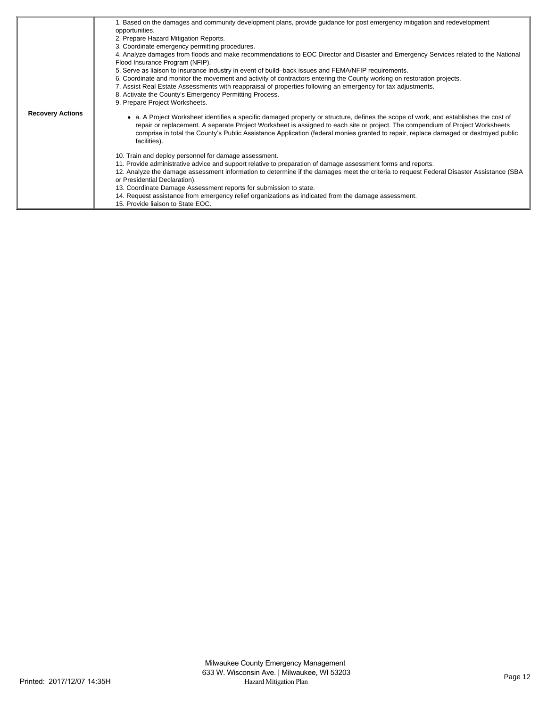|                         | 1. Based on the damages and community development plans, provide guidance for post emergency mitigation and redevelopment<br>opportunities.<br>2. Prepare Hazard Mitigation Reports.<br>3. Coordinate emergency permitting procedures.                                                                                                                                                                                     |
|-------------------------|----------------------------------------------------------------------------------------------------------------------------------------------------------------------------------------------------------------------------------------------------------------------------------------------------------------------------------------------------------------------------------------------------------------------------|
|                         | 4. Analyze damages from floods and make recommendations to EOC Director and Disaster and Emergency Services related to the National                                                                                                                                                                                                                                                                                        |
|                         | Flood Insurance Program (NFIP).<br>5. Serve as liaison to insurance industry in event of build–back issues and FEMA/NFIP requirements.                                                                                                                                                                                                                                                                                     |
|                         | 6. Coordinate and monitor the movement and activity of contractors entering the County working on restoration projects.<br>7. Assist Real Estate Assessments with reappraisal of properties following an emergency for tax adjustments.<br>8. Activate the County's Emergency Permitting Process.<br>9. Prepare Project Worksheets.                                                                                        |
| <b>Recovery Actions</b> | a. A Project Worksheet identifies a specific damaged property or structure, defines the scope of work, and establishes the cost of<br>repair or replacement. A separate Project Worksheet is assigned to each site or project. The compendium of Project Worksheets<br>comprise in total the County's Public Assistance Application (federal monies granted to repair, replace damaged or destroyed public<br>facilities). |
|                         | 10. Train and deploy personnel for damage assessment.                                                                                                                                                                                                                                                                                                                                                                      |
|                         | 11. Provide administrative advice and support relative to preparation of damage assessment forms and reports.                                                                                                                                                                                                                                                                                                              |
|                         | 12. Analyze the damage assessment information to determine if the damages meet the criteria to request Federal Disaster Assistance (SBA<br>or Presidential Declaration).                                                                                                                                                                                                                                                   |
|                         | 13. Coordinate Damage Assessment reports for submission to state.                                                                                                                                                                                                                                                                                                                                                          |
|                         | 14. Request assistance from emergency relief organizations as indicated from the damage assessment.<br>15. Provide liaison to State EOC.                                                                                                                                                                                                                                                                                   |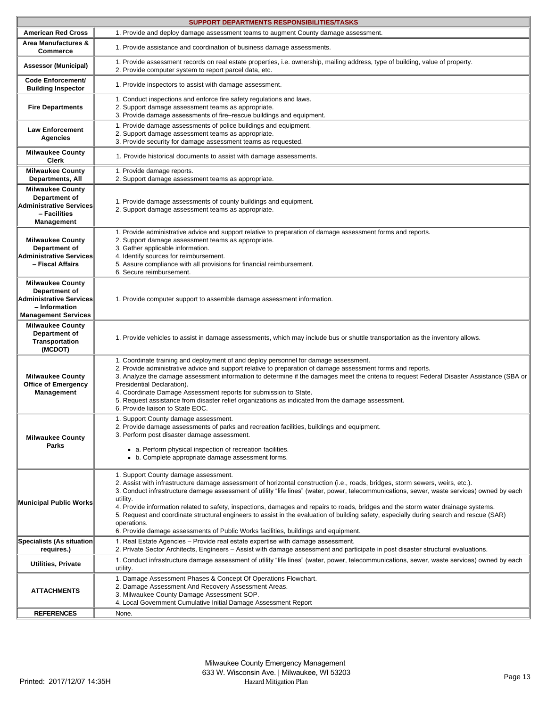|                                                                                                                           | SUPPORT DEPARTMENTS RESPONSIBILITIES/TASKS                                                                                                                                                                                                                                                                                                                                                                                                                                                                                                                                                                                                                                                                              |  |  |  |  |  |  |
|---------------------------------------------------------------------------------------------------------------------------|-------------------------------------------------------------------------------------------------------------------------------------------------------------------------------------------------------------------------------------------------------------------------------------------------------------------------------------------------------------------------------------------------------------------------------------------------------------------------------------------------------------------------------------------------------------------------------------------------------------------------------------------------------------------------------------------------------------------------|--|--|--|--|--|--|
| <b>American Red Cross</b>                                                                                                 | 1. Provide and deploy damage assessment teams to augment County damage assessment.                                                                                                                                                                                                                                                                                                                                                                                                                                                                                                                                                                                                                                      |  |  |  |  |  |  |
| Area Manufactures &<br><b>Commerce</b>                                                                                    | 1. Provide assistance and coordination of business damage assessments.                                                                                                                                                                                                                                                                                                                                                                                                                                                                                                                                                                                                                                                  |  |  |  |  |  |  |
| <b>Assessor (Municipal)</b>                                                                                               | 1. Provide assessment records on real estate properties, i.e. ownership, mailing address, type of building, value of property.<br>2. Provide computer system to report parcel data, etc.                                                                                                                                                                                                                                                                                                                                                                                                                                                                                                                                |  |  |  |  |  |  |
| Code Enforcement/<br><b>Building Inspector</b>                                                                            | 1. Provide inspectors to assist with damage assessment.                                                                                                                                                                                                                                                                                                                                                                                                                                                                                                                                                                                                                                                                 |  |  |  |  |  |  |
| <b>Fire Departments</b>                                                                                                   | 1. Conduct inspections and enforce fire safety regulations and laws.<br>2. Support damage assessment teams as appropriate.<br>3. Provide damage assessments of fire–rescue buildings and equipment.                                                                                                                                                                                                                                                                                                                                                                                                                                                                                                                     |  |  |  |  |  |  |
| <b>Law Enforcement</b><br><b>Agencies</b>                                                                                 | 1. Provide damage assessments of police buildings and equipment.<br>2. Support damage assessment teams as appropriate.<br>3. Provide security for damage assessment teams as requested.                                                                                                                                                                                                                                                                                                                                                                                                                                                                                                                                 |  |  |  |  |  |  |
| <b>Milwaukee County</b><br><b>Clerk</b>                                                                                   | 1. Provide historical documents to assist with damage assessments.                                                                                                                                                                                                                                                                                                                                                                                                                                                                                                                                                                                                                                                      |  |  |  |  |  |  |
| <b>Milwaukee County</b><br><b>Departments, All</b>                                                                        | 1. Provide damage reports.<br>2. Support damage assessment teams as appropriate.                                                                                                                                                                                                                                                                                                                                                                                                                                                                                                                                                                                                                                        |  |  |  |  |  |  |
| <b>Milwaukee County</b><br>Department of<br><b>Administrative Services</b><br>- Facilities<br>Management                  | 1. Provide damage assessments of county buildings and equipment.<br>2. Support damage assessment teams as appropriate.                                                                                                                                                                                                                                                                                                                                                                                                                                                                                                                                                                                                  |  |  |  |  |  |  |
| <b>Milwaukee County</b><br>Department of<br><b>Administrative Services</b><br>- Fiscal Affairs                            | 1. Provide administrative advice and support relative to preparation of damage assessment forms and reports.<br>2. Support damage assessment teams as appropriate.<br>3. Gather applicable information.<br>4. Identify sources for reimbursement.<br>5. Assure compliance with all provisions for financial reimbursement.<br>6. Secure reimbursement.                                                                                                                                                                                                                                                                                                                                                                  |  |  |  |  |  |  |
| <b>Milwaukee County</b><br>Department of<br><b>Administrative Services</b><br>- Information<br><b>Management Services</b> | 1. Provide computer support to assemble damage assessment information.                                                                                                                                                                                                                                                                                                                                                                                                                                                                                                                                                                                                                                                  |  |  |  |  |  |  |
| <b>Milwaukee County</b><br>Department of<br>Transportation<br>(MCDOT)                                                     | 1. Provide vehicles to assist in damage assessments, which may include bus or shuttle transportation as the inventory allows.                                                                                                                                                                                                                                                                                                                                                                                                                                                                                                                                                                                           |  |  |  |  |  |  |
| <b>Milwaukee County</b><br><b>Office of Emergency</b><br>Management                                                       | 1. Coordinate training and deployment of and deploy personnel for damage assessment.<br>2. Provide administrative advice and support relative to preparation of damage assessment forms and reports.<br>3. Analyze the damage assessment information to determine if the damages meet the criteria to request Federal Disaster Assistance (SBA or<br>Presidential Declaration).<br>4. Coordinate Damage Assessment reports for submission to State.<br>5. Request assistance from disaster relief organizations as indicated from the damage assessment.<br>6. Provide liaison to State EOC.                                                                                                                            |  |  |  |  |  |  |
| <b>Milwaukee County</b><br>Parks                                                                                          | 1. Support County damage assessment.<br>2. Provide damage assessments of parks and recreation facilities, buildings and equipment.<br>3. Perform post disaster damage assessment.<br>• a. Perform physical inspection of recreation facilities.<br>• b. Complete appropriate damage assessment forms.                                                                                                                                                                                                                                                                                                                                                                                                                   |  |  |  |  |  |  |
| <b>Municipal Public Works</b>                                                                                             | 1. Support County damage assessment.<br>2. Assist with infrastructure damage assessment of horizontal construction (i.e., roads, bridges, storm sewers, weirs, etc.).<br>3. Conduct infrastructure damage assessment of utility "life lines" (water, power, telecommunications, sewer, waste services) owned by each<br>utility.<br>4. Provide information related to safety, inspections, damages and repairs to roads, bridges and the storm water drainage systems.<br>5. Request and coordinate structural engineers to assist in the evaluation of building safety, especially during search and rescue (SAR)<br>operations.<br>6. Provide damage assessments of Public Works facilities, buildings and equipment. |  |  |  |  |  |  |
| Specialists (As situation                                                                                                 | 1. Real Estate Agencies – Provide real estate expertise with damage assessment.                                                                                                                                                                                                                                                                                                                                                                                                                                                                                                                                                                                                                                         |  |  |  |  |  |  |
| requires.)<br>Utilities, Private                                                                                          | 2. Private Sector Architects, Engineers – Assist with damage assessment and participate in post disaster structural evaluations.<br>1. Conduct infrastructure damage assessment of utility "life lines" (water, power, telecommunications, sewer, waste services) owned by each                                                                                                                                                                                                                                                                                                                                                                                                                                         |  |  |  |  |  |  |
| <b>ATTACHMENTS</b>                                                                                                        | utility.<br>1. Damage Assessment Phases & Concept Of Operations Flowchart.<br>2. Damage Assessment And Recovery Assessment Areas.<br>3. Milwaukee County Damage Assessment SOP.<br>4. Local Government Cumulative Initial Damage Assessment Report                                                                                                                                                                                                                                                                                                                                                                                                                                                                      |  |  |  |  |  |  |
| <b>REFERENCES</b>                                                                                                         | None.                                                                                                                                                                                                                                                                                                                                                                                                                                                                                                                                                                                                                                                                                                                   |  |  |  |  |  |  |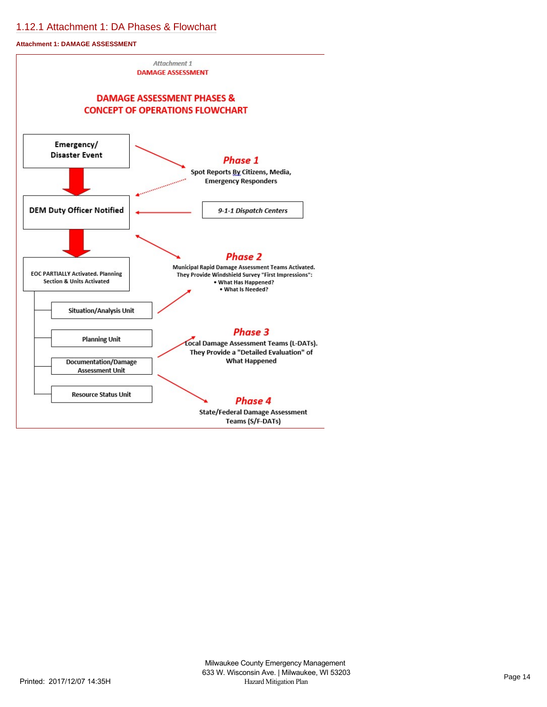# [1.12.1 Attachment 1: DA Phases & Flowchart](https://milwaukeecounty.isc-cemp.com/Cemp/Details?id=5810267)

**Attachment 1: DAMAGE ASSESSMENT**

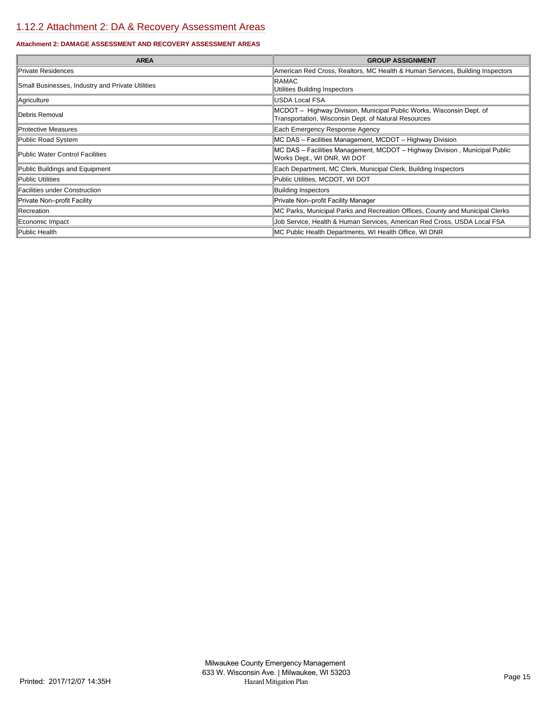# [1.12.2 Attachment 2: DA & Recovery Assessment Areas](https://milwaukeecounty.isc-cemp.com/Cemp/Details?id=5810269)

# **Attachment 2: DAMAGE ASSESSMENT AND RECOVERY ASSESSMENT AREAS**

| <b>AREA</b>                                      | <b>GROUP ASSIGNMENT</b>                                                                                                      |
|--------------------------------------------------|------------------------------------------------------------------------------------------------------------------------------|
| Private Residences                               | American Red Cross, Realtors, MC Health & Human Services, Building Inspectors                                                |
| Small Businesses, Industry and Private Utilities | <b>RAMAC</b><br>Utilities Building Inspectors                                                                                |
| Agriculture                                      | IUSDA Local FSA                                                                                                              |
| Debris Removal                                   | MCDOT - Highway Division, Municipal Public Works, Wisconsin Dept. of<br>Transportation, Wisconsin Dept. of Natural Resources |
| <b>Protective Measures</b>                       | Each Emergency Response Agency                                                                                               |
| Public Road System                               | MC DAS - Facilities Management, MCDOT - Highway Division                                                                     |
| Public Water Control Facilities                  | MC DAS - Facilities Management, MCDOT - Highway Division, Municipal Public<br>Works Dept., WI DNR, WI DOT                    |
| Public Buildings and Equipment                   | Each Department, MC Clerk, Municipal Clerk, Building Inspectors                                                              |
| Public Utilities                                 | Public Utilities, MCDOT, WI DOT                                                                                              |
| Facilities under Construction                    | <b>Building Inspectors</b>                                                                                                   |
| Private Non-profit Facility                      | Private Non-profit Facility Manager                                                                                          |
| Recreation                                       | MC Parks, Municipal Parks and Recreation Offices, County and Municipal Clerks                                                |
| Economic Impact                                  | Job Service, Health & Human Services, American Red Cross, USDA Local FSA                                                     |
| Public Health                                    | MC Public Health Departments, WI Health Office, WI DNR                                                                       |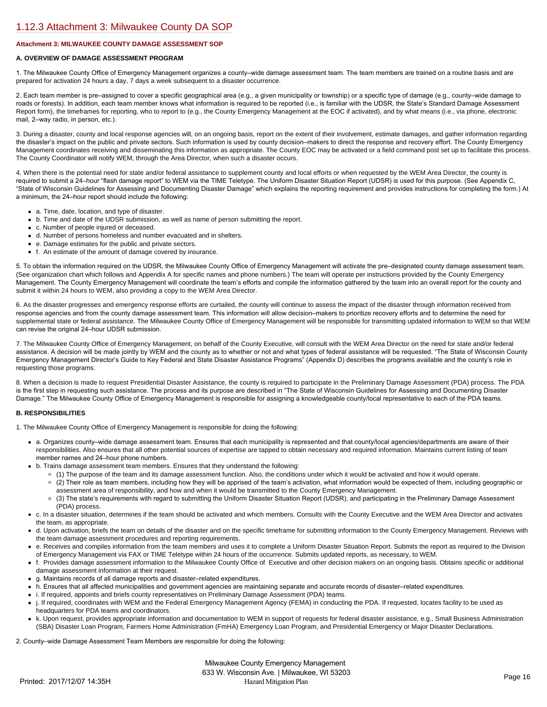# **Attachment 3: MILWAUKEE COUNTY DAMAGE ASSESSMENT SOP**

# **A. OVERVIEW OF DAMAGE ASSESSMENT PROGRAM**

1. The Milwaukee County Office of Emergency Management organizes a county–wide damage assessment team. The team members are trained on a routine basis and are prepared for activation 24 hours a day, 7 days a week subsequent to a disaster occurrence.

2. Each team member is pre–assigned to cover a specific geographical area (e.g., a given municipality or township) or a specific type of damage (e.g., county–wide damage to roads or forests). In addition, each team member knows what information is required to be reported (i.e., is familiar with the UDSR, the State's Standard Damage Assessment Report form), the timeframes for reporting, who to report to (e.g., the County Emergency Management at the EOC if activated), and by what means (i.e., via phone, electronic mail, 2–way radio, in person, etc.).

3. During a disaster, county and local response agencies will, on an ongoing basis, report on the extent of their involvement, estimate damages, and gather information regarding the disaster's impact on the public and private sectors. Such information is used by county decision–makers to direct the response and recovery effort. The County Emergency Management coordinates receiving and disseminating this information as appropriate. The County EOC may be activated or a field command post set up to facilitate this process. The County Coordinator will notify WEM, through the Area Director, when such a disaster occurs.

4. When there is the potential need for state and/or federal assistance to supplement county and local efforts or when requested by the WEM Area Director, the county is required to submit a 24–hour "flash damage report" to WEM via the TIME Teletype. The Uniform Disaster Situation Report (UDSR) is used for this purpose. (See Appendix C, "State of Wisconsin Guidelines for Assessing and Documenting Disaster Damage" which explains the reporting requirement and provides instructions for completing the form.) At a minimum, the 24–hour report should include the following:

- a. Time, date, location, and type of disaster.
- b. Time and date of the UDSR submission, as well as name of person submitting the report.
- c. Number of people injured or deceased.
- d. Number of persons homeless and number evacuated and in shelters.
- e. Damage estimates for the public and private sectors.
- f. An estimate of the amount of damage covered by insurance.

5. To obtain the information required on the UDSR, the Milwaukee County Office of Emergency Management will activate the pre–designated county damage assessment team. (See organization chart which follows and Appendix A for specific names and phone numbers.) The team will operate per instructions provided by the County Emergency Management. The County Emergency Management will coordinate the team's efforts and compile the information gathered by the team into an overall report for the county and submit it within 24 hours to WEM, also providing a copy to the WEM Area Director.

6. As the disaster progresses and emergency response efforts are curtailed, the county will continue to assess the impact of the disaster through information received from response agencies and from the county damage assessment team. This information will allow decision–makers to prioritize recovery efforts and to determine the need for supplemental state or federal assistance. The Milwaukee County Office of Emergency Management will be responsible for transmitting updated information to WEM so that WEM can revise the original 24–hour UDSR submission.

7. The Milwaukee County Office of Emergency Management, on behalf of the County Executive, will consult with the WEM Area Director on the need for state and/or federal assistance. A decision will be made jointly by WEM and the county as to whether or not and what types of federal assistance will be requested. "The State of Wisconsin County Emergency Management Director's Guide to Key Federal and State Disaster Assistance Programs" (Appendix D) describes the programs available and the county's role in requesting those programs.

8. When a decision is made to request Presidential Disaster Assistance, the county is required to participate in the Preliminary Damage Assessment (PDA) process. The PDA is the first step in requesting such assistance. The process and its purpose are described in "The State of Wisconsin Guidelines for Assessing and Documenting Disaster Damage." The Milwaukee County Office of Emergency Management is responsible for assigning a knowledgeable county/local representative to each of the PDA teams.

# **B. RESPONSIBILITIES**

1. The Milwaukee County Office of Emergency Management is responsible for doing the following:

- a. Organizes county–wide damage assessment team. Ensures that each municipality is represented and that county/local agencies/departments are aware of their responsibilities. Also ensures that all other potential sources of expertise are tapped to obtain necessary and required information. Maintains current listing of team member names and 24–hour phone numbers.
- b. Trains damage assessment team members. Ensures that they understand the following:
	- (1) The purpose of the team and its damage assessment function. Also, the conditions under which it would be activated and how it would operate.
	- (2) Their role as team members, including how they will be apprised of the team's activation, what information would be expected of them, including geographic or assessment area of responsibility, and how and when it would be transmitted to the County Emergency Management.
	- (3) The state's requirements with regard to submitting the Uniform Disaster Situation Report (UDSR), and participating in the Preliminary Damage Assessment (PDA) process.
- c. In a disaster situation, determines if the team should be activated and which members. Consults with the County Executive and the WEM Area Director and activates the team, as appropriate.
- d. Upon activation, briefs the team on details of the disaster and on the specific timeframe for submitting information to the County Emergency Management. Reviews with the team damage assessment procedures and reporting requirements.
- e. Receives and compiles information from the team members and uses it to complete a Uniform Disaster Situation Report. Submits the report as required to the Division of Emergency Management via FAX or TIME Teletype within 24 hours of the occurrence. Submits updated reports, as necessary, to WEM.
- f. Provides damage assessment information to the Milwaukee County Office of Executive and other decision makers on an ongoing basis. Obtains specific or additional damage assessment information at their request.
- g. Maintains records of all damage reports and disaster–related expenditures.
- h. Ensures that all affected municipalities and government agencies are maintaining separate and accurate records of disaster–related expenditures.
- i. If required, appoints and briefs county representatives on Preliminary Damage Assessment (PDA) teams.
- j. If required, coordinates with WEM and the Federal Emergency Management Agency (FEMA) in conducting the PDA. If requested, locates facility to be used as headquarters for PDA teams and coordinators.
- k. Upon request, provides appropriate information and documentation to WEM in support of requests for federal disaster assistance, e.g., Small Business Administration (SBA) Disaster Loan Program, Farmers Home Administration (FmHA) Emergency Loan Program, and Presidential Emergency or Major Disaster Declarations.

2. County–wide Damage Assessment Team Members are responsible for doing the following: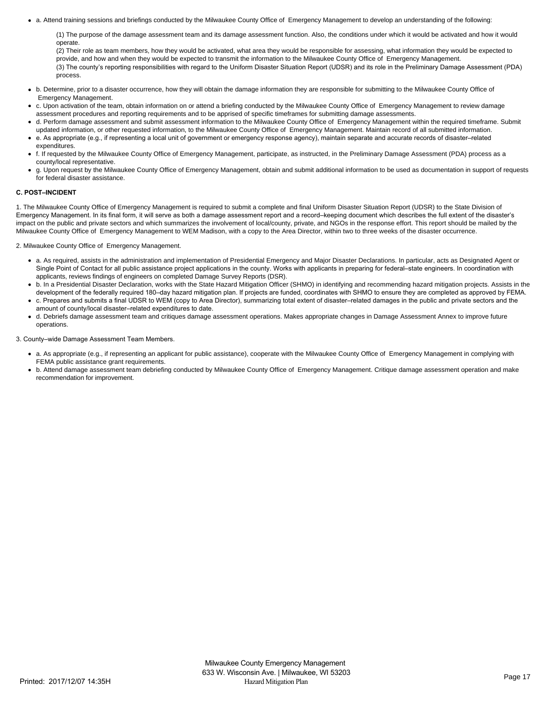a. Attend training sessions and briefings conducted by the Milwaukee County Office of Emergency Management to develop an understanding of the following:

(1) The purpose of the damage assessment team and its damage assessment function. Also, the conditions under which it would be activated and how it would operate.

(2) Their role as team members, how they would be activated, what area they would be responsible for assessing, what information they would be expected to provide, and how and when they would be expected to transmit the information to the Milwaukee County Office of Emergency Management. (3) The county's reporting responsibilities with regard to the Uniform Disaster Situation Report (UDSR) and its role in the Preliminary Damage Assessment (PDA) process.

- b. Determine, prior to a disaster occurrence, how they will obtain the damage information they are responsible for submitting to the Milwaukee County Office of Emergency Management.
- c. Upon activation of the team, obtain information on or attend a briefing conducted by the Milwaukee County Office of Emergency Management to review damage assessment procedures and reporting requirements and to be apprised of specific timeframes for submitting damage assessments.
- d. Perform damage assessment and submit assessment information to the Milwaukee County Office of Emergency Management within the required timeframe. Submit updated information, or other requested information, to the Milwaukee County Office of Emergency Management. Maintain record of all submitted information.
- e. As appropriate (e.g., if representing a local unit of government or emergency response agency), maintain separate and accurate records of disaster–related expenditures.
- f. If requested by the Milwaukee County Office of Emergency Management, participate, as instructed, in the Preliminary Damage Assessment (PDA) process as a county/local representative.
- g. Upon request by the Milwaukee County Office of Emergency Management, obtain and submit additional information to be used as documentation in support of requests for federal disaster assistance.

# **C. POST–INCIDENT**

1. The Milwaukee County Office of Emergency Management is required to submit a complete and final Uniform Disaster Situation Report (UDSR) to the State Division of Emergency Management. In its final form, it will serve as both a damage assessment report and a record–keeping document which describes the full extent of the disaster's impact on the public and private sectors and which summarizes the involvement of local/county, private, and NGOs in the response effort. This report should be mailed by the Milwaukee County Office of Emergency Management to WEM Madison, with a copy to the Area Director, within two to three weeks of the disaster occurrence.

2. Milwaukee County Office of Emergency Management.

- a. As required, assists in the administration and implementation of Presidential Emergency and Major Disaster Declarations. In particular, acts as Designated Agent or Single Point of Contact for all public assistance project applications in the county. Works with applicants in preparing for federal–state engineers. In coordination with applicants, reviews findings of engineers on completed Damage Survey Reports (DSR).
- b. In a Presidential Disaster Declaration, works with the State Hazard Mitigation Officer (SHMO) in identifying and recommending hazard mitigation projects. Assists in the development of the federally required 180-day hazard mitigation plan. If projects are funded, coordinates with SHMO to ensure they are completed as approved by FEMA.
- c. Prepares and submits a final UDSR to WEM (copy to Area Director), summarizing total extent of disaster–related damages in the public and private sectors and the amount of county/local disaster–related expenditures to date.
- d. Debriefs damage assessment team and critiques damage assessment operations. Makes appropriate changes in Damage Assessment Annex to improve future operations.

3. County–wide Damage Assessment Team Members.

- a. As appropriate (e.g., if representing an applicant for public assistance), cooperate with the Milwaukee County Office of Emergency Management in complying with FEMA public assistance grant requirements.
- b. Attend damage assessment team debriefing conducted by Milwaukee County Office of Emergency Management. Critique damage assessment operation and make recommendation for improvement.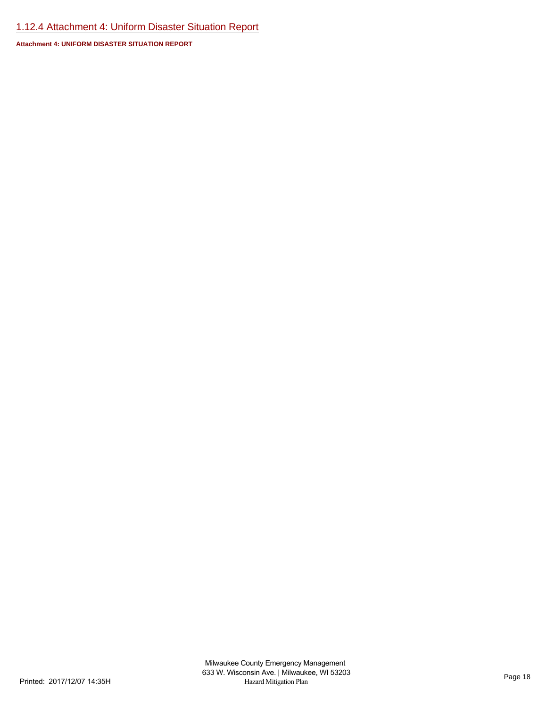# [1.12.4 Attachment 4: Uniform Disaster Situation Report](https://milwaukeecounty.isc-cemp.com/Cemp/Details?id=5810273)

**Attachment 4: UNIFORM DISASTER SITUATION REPORT**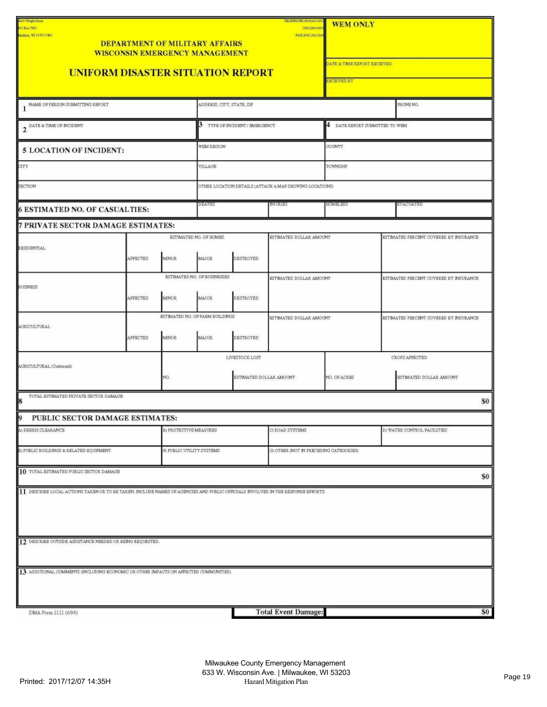| 3400 Wright Street<br>P.O. Box 7865<br>Madison, WI 53707-7865                                                                    |          |                               | <b>DEPARTMENT OF MILITARY AFFAIRS</b><br><b>WISCONSIN EMERGENCY MANAGEMENT</b> |           | ТЕГЛЕРНОМЕ (608)242-323<br>(800) 945-00<br>FAX(608) 242-3241 | <b>WEM ONLY</b><br><b>ATE &amp; TIME REPORT RECEIVED</b> |                                           |                                        |
|----------------------------------------------------------------------------------------------------------------------------------|----------|-------------------------------|--------------------------------------------------------------------------------|-----------|--------------------------------------------------------------|----------------------------------------------------------|-------------------------------------------|----------------------------------------|
| <b>UNIFORM DISASTER SITUATION REPORT</b>                                                                                         |          |                               |                                                                                |           |                                                              | RECEIVED BY                                              |                                           |                                        |
| 1 NAME OF PERSON SUBMITTING REPORT                                                                                               |          |                               | ADDRESS, CITY, STATE, ZIP                                                      |           |                                                              |                                                          |                                           | PHONE NO.                              |
| 2 <sup>DATE &amp; TIME OF INCIDENT</sup>                                                                                         |          |                               | 3 TYPE OF INCIDENT / EMERGENCY                                                 |           |                                                              | 4 DATE REPORT SUBMITTED TO WEM                           |                                           |                                        |
| <b>5 LOCATION OF INCIDENT:</b>                                                                                                   |          |                               | WEM REGION                                                                     |           | COUNTY                                                       |                                                          |                                           |                                        |
| CITY                                                                                                                             |          |                               | VILLAGE                                                                        |           |                                                              | TOWNSHIP                                                 |                                           |                                        |
| SECTION                                                                                                                          |          |                               |                                                                                |           | OTHER LOCATION DETAILS (ATTACH A MAP SHOWING LOCATIONS)      |                                                          |                                           |                                        |
| <b>6 ESTIMATED NO. OF CASUALTIES:</b>                                                                                            |          |                               | DEATHS                                                                         |           | <b>INJURIES</b>                                              | <b>HOMBLESS</b>                                          |                                           | EVACUATED                              |
| 7 PRIVATE SECTOR DAMAGE ESTIMATES:                                                                                               |          |                               |                                                                                |           |                                                              |                                                          |                                           |                                        |
| RESIDENTIAL                                                                                                                      | AFFECTED | <b>MINOR</b>                  | ESTIMATED NO. OF HOMES.<br>MAJOR                                               | DESTROYED | ESTIMATED DOLLAR AMOUNT                                      |                                                          |                                           | ESTIMATED PERCENT COVERED BY INSURANCE |
| <b>BUSINESS</b>                                                                                                                  | AFFECTED | <b>MINOR</b>                  | ESTIMATED NO. OF BUSINESSES<br>MAJOR                                           | DESTROYED | ESTIMATED DOLLAR AMOUNT                                      |                                                          |                                           | ESTIMATED PERCENT COVERED BY INSURANCE |
| <b>AGRICULTURAL</b>                                                                                                              | AFFECTED | <b>MINOR</b>                  | ESTIMATED NO. OF FARM BUILDINGS<br><b>MAJOR</b>                                | DESTROYED | ESTIMATED DOLLAR AMOUNT                                      |                                                          |                                           | ESTIMATED PERCENT COVERED BY INSURANCE |
| AGRICULTURAL (Continued)<br>NO.                                                                                                  |          |                               | LIVESTOCK LOST<br>ESTIMATED DOLLAR AMOUNT                                      |           | NO. OF ACRES                                                 |                                                          | CROPS AFFECTED<br>ESTIMATED DOLLAR AMOUNT |                                        |
| TOTAL ESTIMATED PRIVATE SECTOR DAMAGE<br>8                                                                                       |          |                               |                                                                                |           |                                                              |                                                          |                                           | \$0                                    |
| 9 PUBLIC SECTOR DAMAGE ESTIMATES:                                                                                                |          |                               |                                                                                |           |                                                              |                                                          |                                           |                                        |
| A) DEBRIS CLEARANCE                                                                                                              |          | <b>B) PROTECTIVE MEASURES</b> |                                                                                |           | C) ROAD SYSTEMS                                              |                                                          |                                           | D) WATER CONTROL FACILITIES            |
| E) PUBLIC BUILDINGS & RELATED EQUIPMENT                                                                                          |          | F) PUBLIC UTILITY SYSTEMS     | G) OTHER (NOT IN PRECEDING CATEGORIES)                                         |           |                                                              |                                                          |                                           |                                        |
| 10 TOTAL ESTIMATED PUBLIC SECTOR DAMAGE                                                                                          |          |                               |                                                                                |           |                                                              |                                                          |                                           | \$0                                    |
| 11 DESCRIBE LOCAL ACTIONS TAKEN OR TO BE TAKEN, INCLUDE NAMES OF AGENCIES AND PUBLIC OFFICIALS INVOLVED IN THE RESPONSE EFFORTS. |          |                               |                                                                                |           |                                                              |                                                          |                                           |                                        |
| 12 DESCRIBE OUTSIDE ASSISTANCE NEEDED OR BEING REQUESTED.                                                                        |          |                               |                                                                                |           |                                                              |                                                          |                                           |                                        |
| 13 ADDITIONAL COMMENTS (INCLUDING ECONOMIC OR OTHER IMPACTS ON AFFECTED COMMUNITIES)                                             |          |                               |                                                                                |           |                                                              |                                                          |                                           |                                        |
| DMA Form 1111 (6/99)                                                                                                             |          |                               |                                                                                |           | <b>Total Event Damage:</b>                                   |                                                          |                                           | \$0                                    |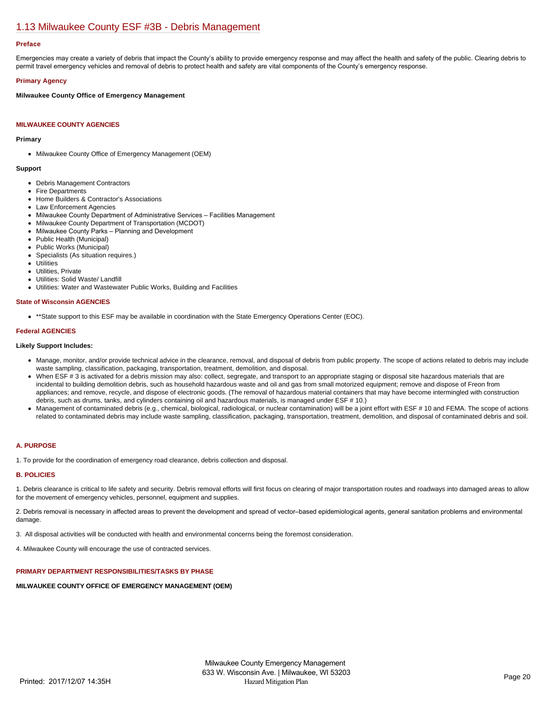# [1.13 Milwaukee County ESF #3B - Debris Management](https://milwaukeecounty.isc-cemp.com/Cemp/Details?id=5805891)

## **Preface**

Emergencies may create a variety of debris that impact the County's ability to provide emergency response and may affect the health and safety of the public. Clearing debris to permit travel emergency vehicles and removal of debris to protect health and safety are vital components of the County's emergency response.

## **Primary Agency**

**Milwaukee County Office of Emergency Management**

## **MILWAUKEE COUNTY AGENCIES**

#### **Primary**

• Milwaukee County Office of Emergency Management (OEM)

#### **Support**

- Debris Management Contractors
- Fire Departments
- Home Builders & Contractor's Associations
- Law Enforcement Agencies
- Milwaukee County Department of Administrative Services Facilities Management
- Milwaukee County Department of Transportation (MCDOT)
- Milwaukee County Parks Planning and Development
- Public Health (Municipal)
- Public Works (Municipal)
- $\bullet$ Specialists (As situation requires.)
- **Utilities**  $\bullet$
- Utilities, Private  $\bullet$
- Utilities: Solid Waste/ Landfill
- Utilities: Water and Wastewater Public Works, Building and Facilities

# **State of Wisconsin AGENCIES**

\*\*State support to this ESF may be available in coordination with the State Emergency Operations Center (EOC).

#### **Federal AGENCIES**

#### **Likely Support Includes:**

- Manage, monitor, and/or provide technical advice in the clearance, removal, and disposal of debris from public property. The scope of actions related to debris may include waste sampling, classification, packaging, transportation, treatment, demolition, and disposal.
- When ESF # 3 is activated for a debris mission may also: collect, segregate, and transport to an appropriate staging or disposal site hazardous materials that are incidental to building demolition debris, such as household hazardous waste and oil and gas from small motorized equipment; remove and dispose of Freon from appliances; and remove, recycle, and dispose of electronic goods. (The removal of hazardous material containers that may have become intermingled with construction debris, such as drums, tanks, and cylinders containing oil and hazardous materials, is managed under ESF # 10.)
- Management of contaminated debris (e.g., chemical, biological, radiological, or nuclear contamination) will be a joint effort with ESF # 10 and FEMA. The scope of actions related to contaminated debris may include waste sampling, classification, packaging, transportation, treatment, demolition, and disposal of contaminated debris and soil.

#### **A. PURPOSE**

1. To provide for the coordination of emergency road clearance, debris collection and disposal.

#### **B. POLICIES**

1. Debris clearance is critical to life safety and security. Debris removal efforts will first focus on clearing of major transportation routes and roadways into damaged areas to allow for the movement of emergency vehicles, personnel, equipment and supplies.

2. Debris removal is necessary in affected areas to prevent the development and spread of vector–based epidemiological agents, general sanitation problems and environmental damage.

3. All disposal activities will be conducted with health and environmental concerns being the foremost consideration.

4. Milwaukee County will encourage the use of contracted services.

## **PRIMARY DEPARTMENT RESPONSIBILITIES/TASKS BY PHASE**

#### **MILWAUKEE COUNTY OFFICE OF EMERGENCY MANAGEMENT (OEM)**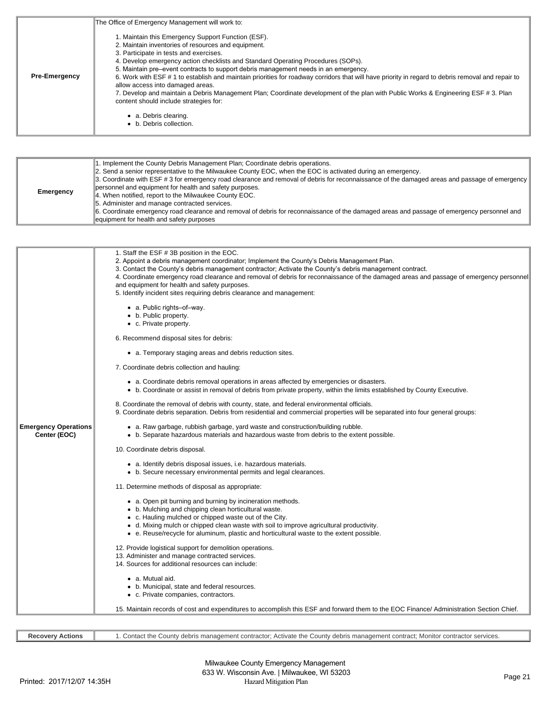|                      | The Office of Emergency Management will work to:                                                                                                                                                                                                                                                                                                                                                                                                                                                                                                                                                                                                                                                       |
|----------------------|--------------------------------------------------------------------------------------------------------------------------------------------------------------------------------------------------------------------------------------------------------------------------------------------------------------------------------------------------------------------------------------------------------------------------------------------------------------------------------------------------------------------------------------------------------------------------------------------------------------------------------------------------------------------------------------------------------|
| <b>Pre-Emergency</b> | I. Maintain this Emergency Support Function (ESF).<br>2. Maintain inventories of resources and equipment.<br>3. Participate in tests and exercises.<br>4. Develop emergency action checklists and Standard Operating Procedures (SOPs).<br>5. Maintain pre-event contracts to support debris management needs in an emergency.<br>6. Work with ESF #1 to establish and maintain priorities for roadway corridors that will have priority in regard to debris removal and repair to<br>allow access into damaged areas.<br>7. Develop and maintain a Debris Management Plan; Coordinate development of the plan with Public Works & Engineering ESF # 3. Plan<br>content should include strategies for: |
|                      | a. Debris clearing.<br>• b. Debris collection.                                                                                                                                                                                                                                                                                                                                                                                                                                                                                                                                                                                                                                                         |

| <b>Emergency</b> | 1. Implement the County Debris Management Plan; Coordinate debris operations.<br>2. Send a senior representative to the Milwaukee County EOC, when the EOC is activated during an emergency.<br>3. Coordinate with ESF # 3 for emergency road clearance and removal of debris for reconnaissance of the damaged areas and passage of emergency<br>personnel and equipment for health and safety purposes.<br>4. When notified, report to the Milwaukee County EOC.<br>5. Administer and manage contracted services.<br>6. Coordinate emergency road clearance and removal of debris for reconnaissance of the damaged areas and passage of emergency personnel and<br>lequipment for health and safety purposes |
|------------------|-----------------------------------------------------------------------------------------------------------------------------------------------------------------------------------------------------------------------------------------------------------------------------------------------------------------------------------------------------------------------------------------------------------------------------------------------------------------------------------------------------------------------------------------------------------------------------------------------------------------------------------------------------------------------------------------------------------------|
|------------------|-----------------------------------------------------------------------------------------------------------------------------------------------------------------------------------------------------------------------------------------------------------------------------------------------------------------------------------------------------------------------------------------------------------------------------------------------------------------------------------------------------------------------------------------------------------------------------------------------------------------------------------------------------------------------------------------------------------------|

|                                             | 1. Staff the ESF #3B position in the EOC.<br>2. Appoint a debris management coordinator; Implement the County's Debris Management Plan.<br>3. Contact the County's debris management contractor; Activate the County's debris management contract.<br>4. Coordinate emergency road clearance and removal of debris for reconnaissance of the damaged areas and passage of emergency personnel<br>and equipment for health and safety purposes.<br>5. Identify incident sites requiring debris clearance and management: |
|---------------------------------------------|-------------------------------------------------------------------------------------------------------------------------------------------------------------------------------------------------------------------------------------------------------------------------------------------------------------------------------------------------------------------------------------------------------------------------------------------------------------------------------------------------------------------------|
|                                             | • a. Public rights-of-way.<br>• b. Public property.<br>• c. Private property.                                                                                                                                                                                                                                                                                                                                                                                                                                           |
|                                             | 6. Recommend disposal sites for debris:                                                                                                                                                                                                                                                                                                                                                                                                                                                                                 |
|                                             | • a. Temporary staging areas and debris reduction sites.                                                                                                                                                                                                                                                                                                                                                                                                                                                                |
|                                             | 7. Coordinate debris collection and hauling:                                                                                                                                                                                                                                                                                                                                                                                                                                                                            |
|                                             | • a. Coordinate debris removal operations in areas affected by emergencies or disasters.<br>• b. Coordinate or assist in removal of debris from private property, within the limits established by County Executive.                                                                                                                                                                                                                                                                                                    |
|                                             | 8. Coordinate the removal of debris with county, state, and federal environmental officials.<br>9. Coordinate debris separation. Debris from residential and commercial properties will be separated into four general groups:                                                                                                                                                                                                                                                                                          |
| <b>Emergency Operations</b><br>Center (EOC) | • a. Raw garbage, rubbish garbage, yard waste and construction/building rubble.<br>• b. Separate hazardous materials and hazardous waste from debris to the extent possible.                                                                                                                                                                                                                                                                                                                                            |
|                                             | 10. Coordinate debris disposal.                                                                                                                                                                                                                                                                                                                                                                                                                                                                                         |
|                                             | • a. Identify debris disposal issues, i.e. hazardous materials.<br>• b. Secure necessary environmental permits and legal clearances.                                                                                                                                                                                                                                                                                                                                                                                    |
|                                             | 11. Determine methods of disposal as appropriate:                                                                                                                                                                                                                                                                                                                                                                                                                                                                       |
|                                             | • a. Open pit burning and burning by incineration methods.<br>• b. Mulching and chipping clean horticultural waste.<br>• c. Hauling mulched or chipped waste out of the City.<br>• d. Mixing mulch or chipped clean waste with soil to improve agricultural productivity.<br>• e. Reuse/recycle for aluminum, plastic and horticultural waste to the extent possible.                                                                                                                                                   |
|                                             | 12. Provide logistical support for demolition operations.<br>13. Administer and manage contracted services.<br>14. Sources for additional resources can include:                                                                                                                                                                                                                                                                                                                                                        |
|                                             | • a. Mutual aid.<br>• b. Municipal, state and federal resources.<br>• c. Private companies, contractors.                                                                                                                                                                                                                                                                                                                                                                                                                |
|                                             | 15. Maintain records of cost and expenditures to accomplish this ESF and forward them to the EOC Finance/Administration Section Chief.                                                                                                                                                                                                                                                                                                                                                                                  |

| Recovery<br>: Actions | v debris management contractor: Activate the County debris management contract: Monitor contractor services,<br>Contact the '<br>. Countv |
|-----------------------|-------------------------------------------------------------------------------------------------------------------------------------------|